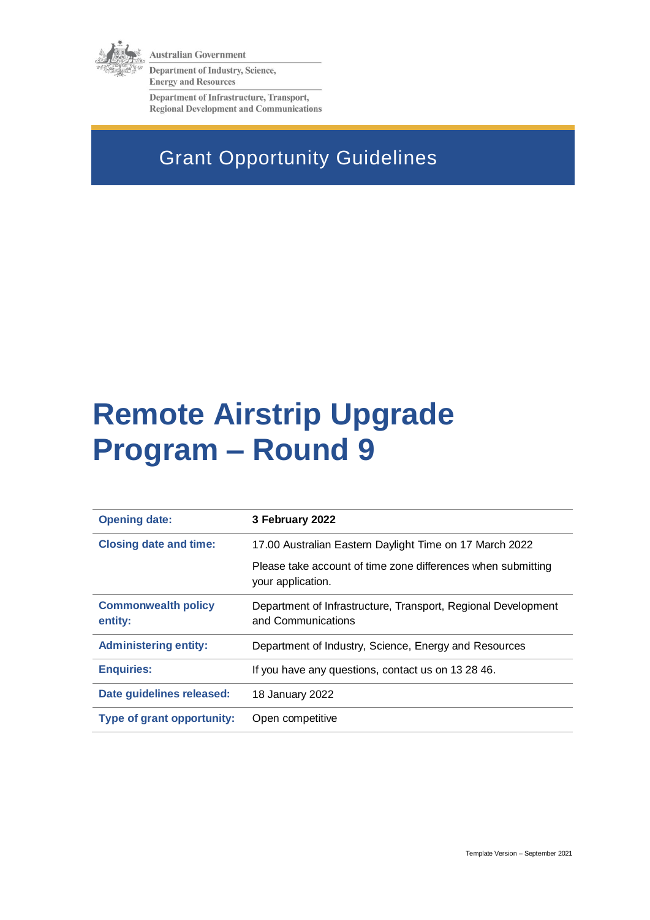

**Australian Government** 

Department of Industry, Science, **Energy and Resources** 

Department of Infrastructure, Transport, **Regional Development and Communications** 

# Grant Opportunity Guidelines

# **Remote Airstrip Upgrade Program – Round 9**

| <b>Opening date:</b>                  | 3 February 2022                                                                     |
|---------------------------------------|-------------------------------------------------------------------------------------|
| <b>Closing date and time:</b>         | 17.00 Australian Eastern Daylight Time on 17 March 2022                             |
|                                       | Please take account of time zone differences when submitting<br>your application.   |
| <b>Commonwealth policy</b><br>entity: | Department of Infrastructure, Transport, Regional Development<br>and Communications |
| <b>Administering entity:</b>          | Department of Industry, Science, Energy and Resources                               |
| <b>Enquiries:</b>                     | If you have any questions, contact us on 13 28 46.                                  |
| Date guidelines released:             | 18 January 2022                                                                     |
| <b>Type of grant opportunity:</b>     | Open competitive                                                                    |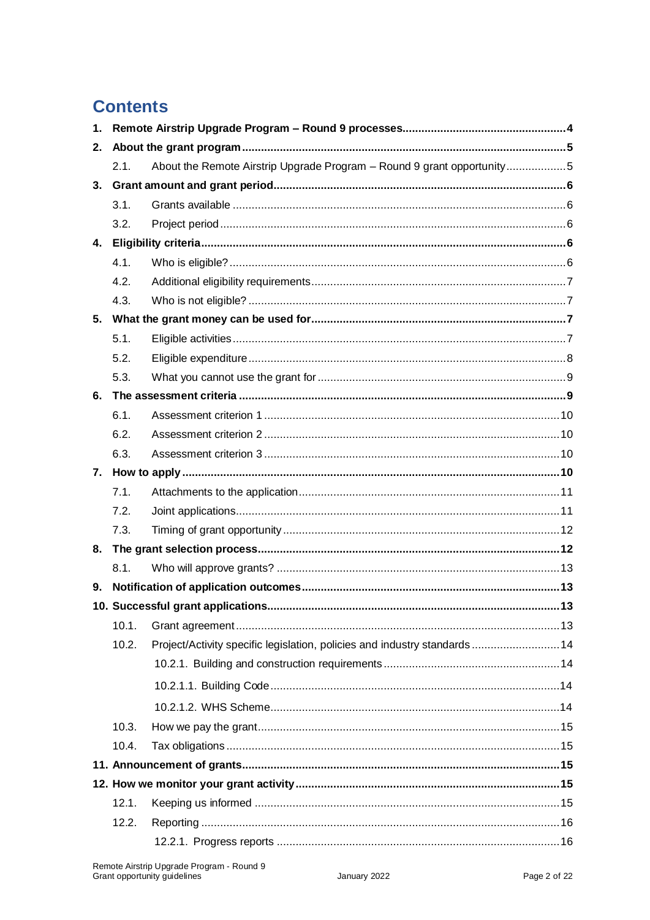# **Contents**

| 1.                                |       |                                                                           |
|-----------------------------------|-------|---------------------------------------------------------------------------|
| 2.                                |       |                                                                           |
|                                   | 2.1.  | About the Remote Airstrip Upgrade Program - Round 9 grant opportunity5    |
| 3.                                |       |                                                                           |
|                                   | 3.1.  |                                                                           |
|                                   | 3.2.  |                                                                           |
| 4.                                |       |                                                                           |
|                                   | 4.1.  |                                                                           |
|                                   | 4.2.  |                                                                           |
|                                   | 4.3.  |                                                                           |
| 5.                                |       |                                                                           |
|                                   | 5.1.  |                                                                           |
|                                   | 5.2.  |                                                                           |
|                                   | 5.3.  |                                                                           |
| 6.                                |       |                                                                           |
|                                   | 6.1.  |                                                                           |
|                                   | 6.2.  |                                                                           |
|                                   | 6.3.  |                                                                           |
| 7.                                |       |                                                                           |
|                                   | 7.1.  |                                                                           |
|                                   | 7.2.  |                                                                           |
|                                   | 7.3.  |                                                                           |
| 8.                                |       |                                                                           |
|                                   | 8.1.  |                                                                           |
| 9.                                |       |                                                                           |
| 10. Successful grant applications |       | . 13                                                                      |
|                                   | 10.1. |                                                                           |
|                                   | 10.2. | Project/Activity specific legislation, policies and industry standards 14 |
|                                   |       |                                                                           |
|                                   |       |                                                                           |
|                                   |       |                                                                           |
|                                   | 10.3. |                                                                           |
|                                   | 10.4. |                                                                           |
|                                   |       |                                                                           |
|                                   |       |                                                                           |
|                                   | 12.1. |                                                                           |
|                                   | 12.2. |                                                                           |
|                                   |       |                                                                           |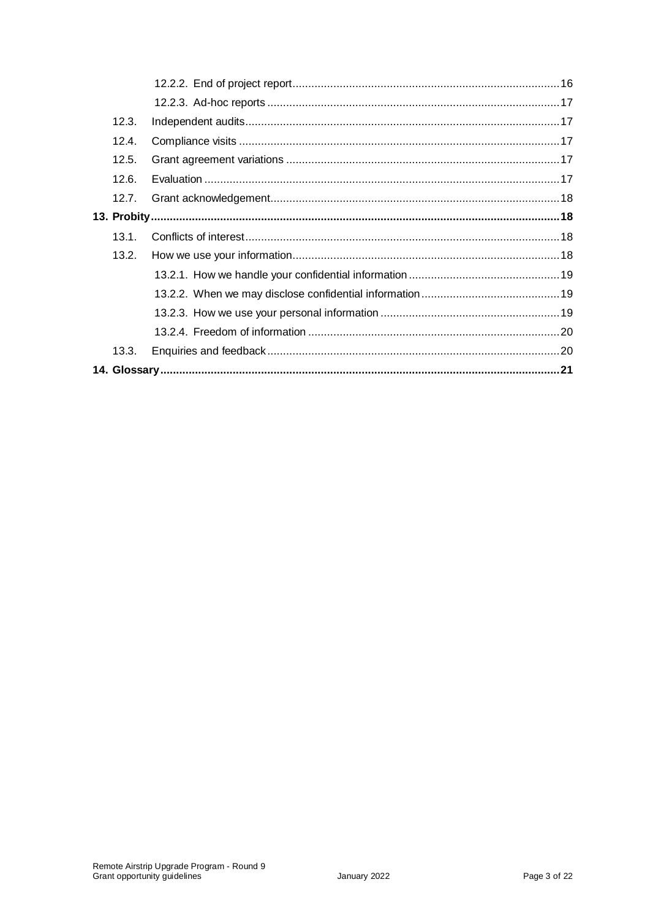| 12.3. |  |  |
|-------|--|--|
| 12.4. |  |  |
| 12.5. |  |  |
| 12.6. |  |  |
| 12.7. |  |  |
|       |  |  |
| 13.1. |  |  |
| 13.2. |  |  |
|       |  |  |
|       |  |  |
|       |  |  |
|       |  |  |
| 13.3. |  |  |
|       |  |  |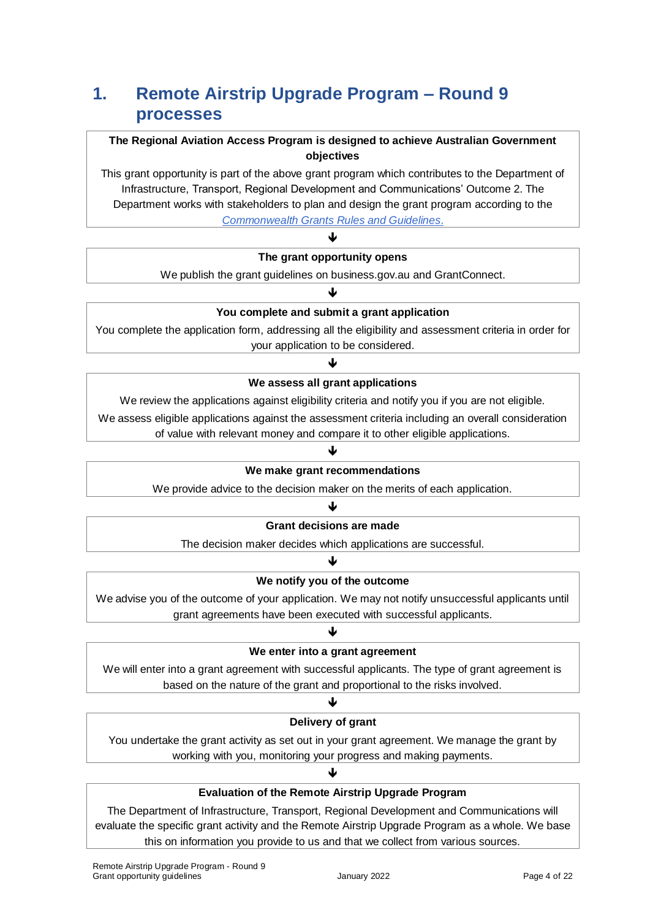# **1. Remote Airstrip Upgrade Program – Round 9 processes**

### **The Regional Aviation Access Program is designed to achieve Australian Government objectives**

This grant opportunity is part of the above grant program which contributes to the Department of Infrastructure, Transport, Regional Development and Communications' Outcome 2. The Department works with stakeholders to plan and design the grant program according to the *[Commonwealth Grants Rules and Guidelines](https://www.finance.gov.au/government/commonwealth-grants/commonwealth-grants-rules-guidelines)*.

#### $\blacklozenge$ **The grant opportunity opens**

We publish the grant guidelines on business.gov.au and GrantConnect. ₩

# **You complete and submit a grant application**

You complete the application form, addressing all the eligibility and assessment criteria in order for your application to be considered.

# J **We assess all grant applications**

We review the applications against eligibility criteria and notify you if you are not eligible.

We assess eligible applications against the assessment criteria including an overall consideration

of value with relevant money and compare it to other eligible applications.

# ↓ **We make grant recommendations**

We provide advice to the decision maker on the merits of each application.

### $\blacklozenge$

#### **Grant decisions are made**

The decision maker decides which applications are successful. J

# **We notify you of the outcome**

We advise you of the outcome of your application. We may not notify unsuccessful applicants until grant agreements have been executed with successful applicants.

# J **We enter into a grant agreement**

We will enter into a grant agreement with successful applicants. The type of grant agreement is based on the nature of the grant and proportional to the risks involved.

#### ♦

#### **Delivery of grant**

You undertake the grant activity as set out in your grant agreement. We manage the grant by working with you, monitoring your progress and making payments.

# ♦ **Evaluation of the Remote Airstrip Upgrade Program**

The Department of Infrastructure, Transport, Regional Development and Communications will evaluate the specific grant activity and the Remote Airstrip Upgrade Program as a whole. We base this on information you provide to us and that we collect from various sources.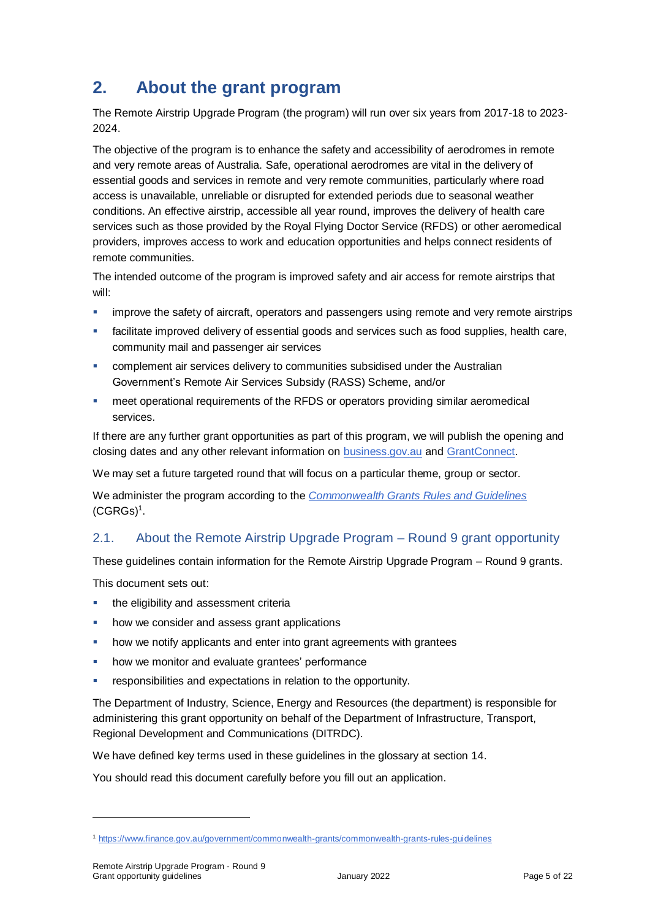# **2. About the grant program**

The Remote Airstrip Upgrade Program (the program) will run over six years from 2017-18 to 2023- 2024.

The objective of the program is to enhance the safety and accessibility of aerodromes in remote and very remote areas of Australia. Safe, operational aerodromes are vital in the delivery of essential goods and services in remote and very remote communities, particularly where road access is unavailable, unreliable or disrupted for extended periods due to seasonal weather conditions. An effective airstrip, accessible all year round, improves the delivery of health care services such as those provided by the Royal Flying Doctor Service (RFDS) or other aeromedical providers, improves access to work and education opportunities and helps connect residents of remote communities.

The intended outcome of the program is improved safety and air access for remote airstrips that will:

- **EXED** improve the safety of aircraft, operators and passengers using remote and very remote airstrips
- facilitate improved delivery of essential goods and services such as food supplies, health care, community mail and passenger air services
- complement air services delivery to communities subsidised under the Australian Government's Remote Air Services Subsidy (RASS) Scheme, and/or
- meet operational requirements of the RFDS or operators providing similar aeromedical services.

If there are any further grant opportunities as part of this program, we will publish the opening and closing dates and any other relevant information on [business.gov.au](https://business.gov.au/grants-and-programs/remote-airstrip-upgrade-program-round-9) and [GrantConnect.](https://www.grants.gov.au/)

We may set a future targeted round that will focus on a particular theme, group or sector.

We administer the program according to the *[Commonwealth Grants Rules and Guidelines](https://www.finance.gov.au/government/commonwealth-grants/commonwealth-grants-rules-guidelines)*  $(CG R G s)^1$ .

# 2.1. About the Remote Airstrip Upgrade Program – Round 9 grant opportunity

These guidelines contain information for the Remote Airstrip Upgrade Program – Round 9 grants.

This document sets out:

- **the eligibility and assessment criterially**
- how we consider and assess grant applications
- how we notify applicants and enter into grant agreements with grantees
- how we monitor and evaluate grantees' performance
- responsibilities and expectations in relation to the opportunity.

The Department of Industry, Science, Energy and Resources (the department) is responsible for administering this grant opportunity on behalf of the Department of Infrastructure, Transport, Regional Development and Communications (DITRDC).

We have defined key terms used in these guidelines in the glossary at section [14.](#page-20-0)

You should read this document carefully before you fill out an application.

<sup>1</sup> <https://www.finance.gov.au/government/commonwealth-grants/commonwealth-grants-rules-guidelines>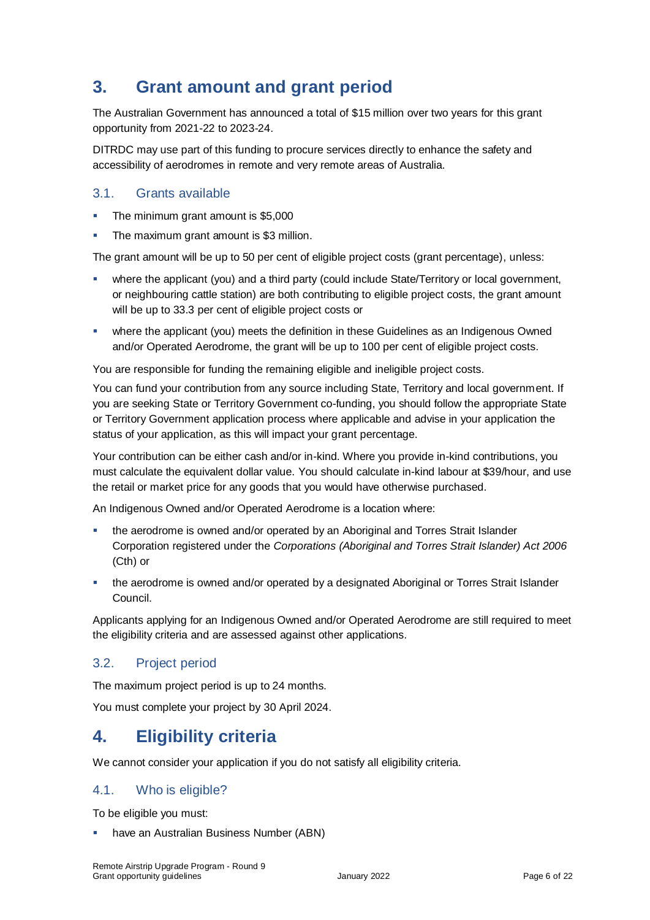# **3. Grant amount and grant period**

The Australian Government has announced a total of \$15 million over two years for this grant opportunity from 2021-22 to 2023-24.

DITRDC may use part of this funding to procure services directly to enhance the safety and accessibility of aerodromes in remote and very remote areas of Australia.

### 3.1. Grants available

- **The minimum grant amount is \$5,000**
- The maximum grant amount is \$3 million.

The grant amount will be up to 50 per cent of eligible project costs (grant percentage), unless:

- where the applicant (you) and a third party (could include State/Territory or local government, or neighbouring cattle station) are both contributing to eligible project costs, the grant amount will be up to 33.3 per cent of eligible project costs or
- where the applicant (you) meets the definition in these Guidelines as an Indigenous Owned and/or Operated Aerodrome, the grant will be up to 100 per cent of eligible project costs.

You are responsible for funding the remaining eligible and ineligible project costs.

You can fund your contribution from any source including State, Territory and local government. If you are seeking State or Territory Government co-funding, you should follow the appropriate State or Territory Government application process where applicable and advise in your application the status of your application, as this will impact your grant percentage.

Your contribution can be either cash and/or in-kind. Where you provide in-kind contributions, you must calculate the equivalent dollar value. You should calculate in-kind labour at \$39/hour, and use the retail or market price for any goods that you would have otherwise purchased.

An Indigenous Owned and/or Operated Aerodrome is a location where:

- the aerodrome is owned and/or operated by an Aboriginal and Torres Strait Islander Corporation registered under the *Corporations (Aboriginal and Torres Strait Islander) Act 2006*  (Cth) or
- the aerodrome is owned and/or operated by a designated Aboriginal or Torres Strait Islander Council.

Applicants applying for an Indigenous Owned and/or Operated Aerodrome are still required to meet the eligibility criteria and are assessed against other applications.

#### 3.2. Project period

The maximum project period is up to 24 months.

You must complete your project by 30 April 2024.

# **4. Eligibility criteria**

We cannot consider your application if you do not satisfy all eligibility criteria.

# 4.1. Who is eligible?

To be eligible you must:

have an Australian Business Number (ABN)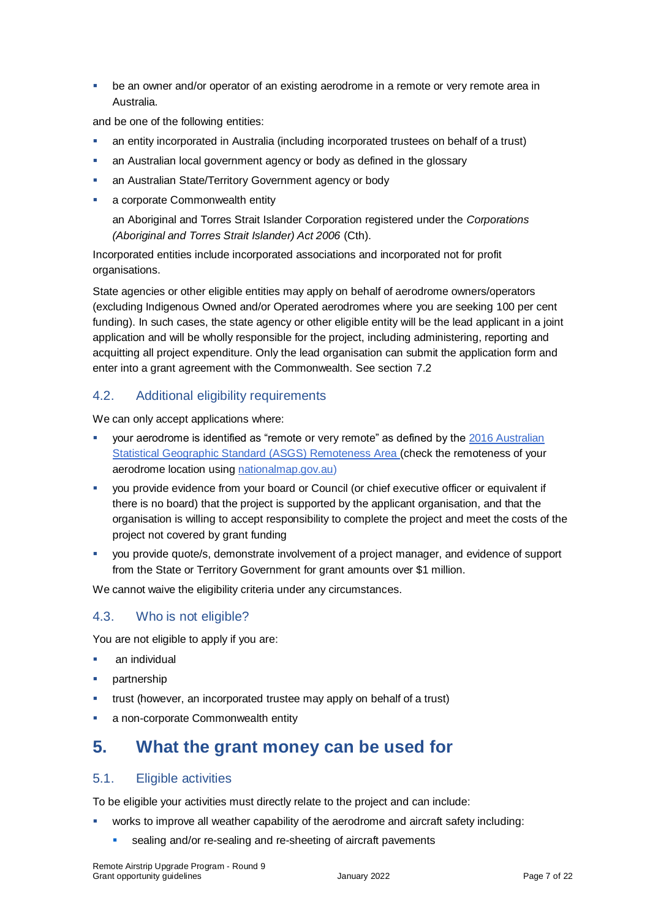be an owner and/or operator of an existing aerodrome in a remote or very remote area in Australia.

and be one of the following entities:

- an entity incorporated in Australia (including incorporated trustees on behalf of a trust)
- an Australian local government agency or body as defined in the glossary
- an Australian State/Territory Government agency or body
- a corporate Commonwealth entity

an Aboriginal and Torres Strait Islander Corporation registered under the *Corporations (Aboriginal and Torres Strait Islander) Act 2006* (Cth).

Incorporated entities include incorporated associations and incorporated not for profit organisations.

State agencies or other eligible entities may apply on behalf of aerodrome owners/operators (excluding Indigenous Owned and/or Operated aerodromes where you are seeking 100 per cent funding). In such cases, the state agency or other eligible entity will be the lead applicant in a joint application and will be wholly responsible for the project, including administering, reporting and acquitting all project expenditure. Only the lead organisation can submit the application form and enter into a grant agreement with the Commonwealth. See section [7.2](#page-10-0)

### 4.2. Additional eligibility requirements

We can only accept applications where:

- your aerodrome is identified as "remote or very remote" as defined by the [2016 Australian](http://www.abs.gov.au/websitedbs/D3310114.nsf/home/remoteness+structure)  [Statistical Geographic Standard \(ASGS\) Remoteness Area](http://www.abs.gov.au/websitedbs/D3310114.nsf/home/remoteness+structure) (check the remoteness of your aerodrome location using [nationalmap.gov.au\)](https://www.nationalmap.gov.au/#share=s-wifQfDmGowsFat6PqE1YBDgQe9w)
- you provide evidence from your board or Council (or chief executive officer or equivalent if there is no board) that the project is supported by the applicant organisation, and that the organisation is willing to accept responsibility to complete the project and meet the costs of the project not covered by grant funding
- you provide quote/s, demonstrate involvement of a project manager, and evidence of support from the State or Territory Government for grant amounts over \$1 million.

We cannot waive the eligibility criteria under any circumstances.

# 4.3. Who is not eligible?

You are not eligible to apply if you are:

- **an individual**
- partnership
- trust (however, an incorporated trustee may apply on behalf of a trust)
- a non-corporate Commonwealth entity

# **5. What the grant money can be used for**

# <span id="page-6-0"></span>5.1. Eligible activities

To be eligible your activities must directly relate to the project and can include:

- works to improve all weather capability of the aerodrome and aircraft safety including:
	- sealing and/or re-sealing and re-sheeting of aircraft pavements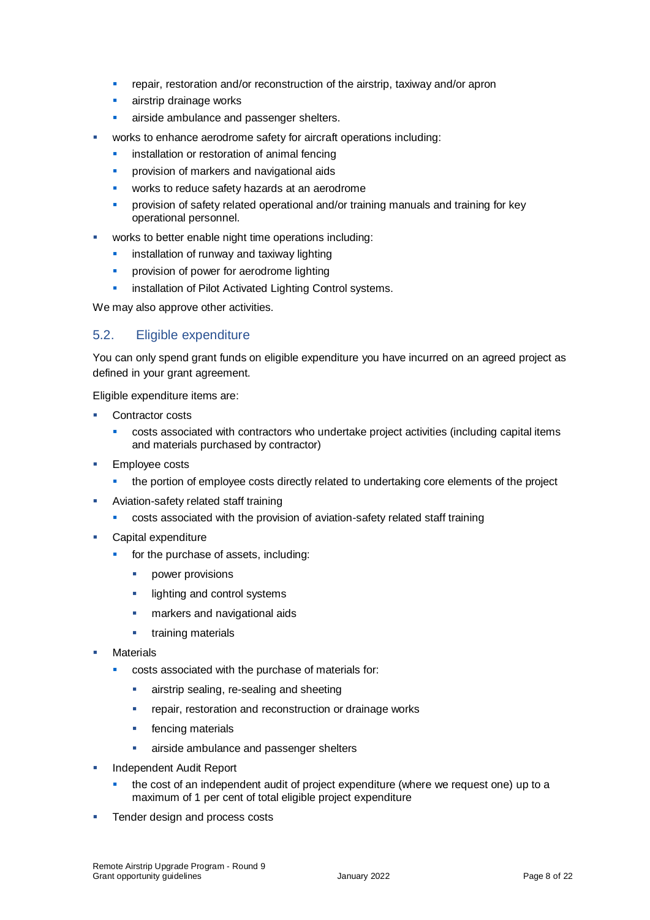- repair, restoration and/or reconstruction of the airstrip, taxiway and/or apron
- **airstrip drainage works**
- **a** airside ambulance and passenger shelters.
- works to enhance aerodrome safety for aircraft operations including:
	- **EXECUTE:** installation or restoration of animal fencing
	- **•** provision of markers and navigational aids
	- **vectable 2** works to reduce safety hazards at an aerodrome
	- **•** provision of safety related operational and/or training manuals and training for key operational personnel.
- works to better enable night time operations including:
	- **EXEC** installation of runway and taxiway lighting
	- **•** provision of power for aerodrome lighting
	- **EXECT** installation of Pilot Activated Lighting Control systems.

We may also approve other activities.

#### <span id="page-7-0"></span>5.2. Eligible expenditure

You can only spend grant funds on eligible expenditure you have incurred on an agreed project as defined in your grant agreement.

Eligible expenditure items are:

- Contractor costs
	- costs associated with contractors who undertake project activities (including capital items and materials purchased by contractor)
- **Employee costs** 
	- **the portion of employee costs directly related to undertaking core elements of the project**
- Aviation-safety related staff training
	- costs associated with the provision of aviation-safety related staff training
- Capital expenditure
	- for the purchase of assets, including:
		- **•** power provisions
		- **Ilighting and control systems**
		- **narkers and navigational aids**
		- **training materials**
- **Materials** 
	- costs associated with the purchase of materials for:
		- **a** airstrip sealing, re-sealing and sheeting
		- **•** repair, restoration and reconstruction or drainage works
		- **Figure 1** fencing materials
		- **airside ambulance and passenger shelters**
- **Independent Audit Report** 
	- the cost of an independent audit of project expenditure (where we request one) up to a maximum of 1 per cent of total eligible project expenditure
- **Tender design and process costs**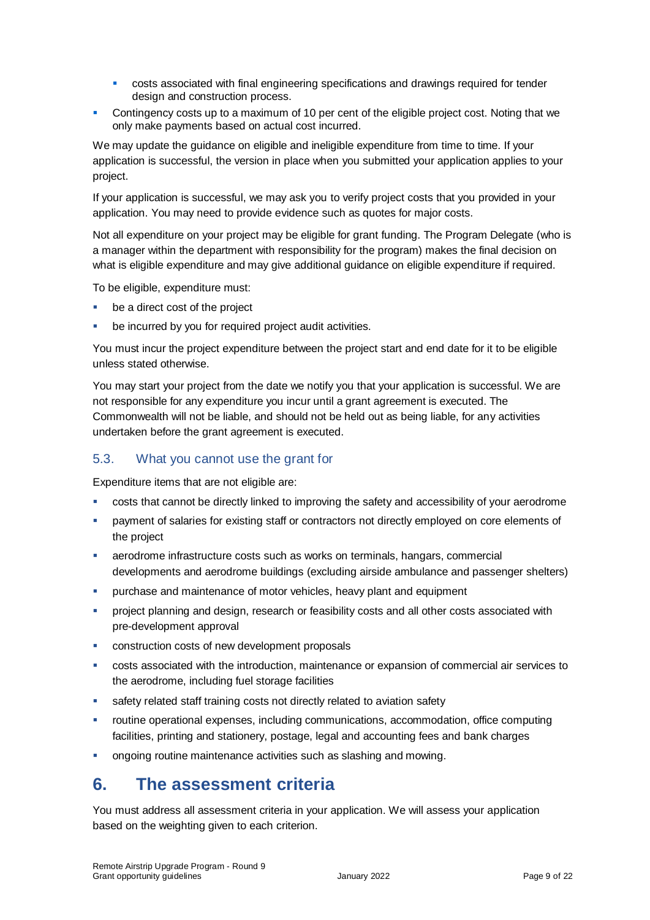- **EXECOSTS** costs associated with final engineering specifications and drawings required for tender design and construction process.
- Contingency costs up to a maximum of 10 per cent of the eligible project cost. Noting that we only make payments based on actual cost incurred.

We may update the guidance on eligible and ineligible expenditure from time to time. If your application is successful, the version in place when you submitted your application applies to your project.

If your application is successful, we may ask you to verify project costs that you provided in your application. You may need to provide evidence such as quotes for major costs.

Not all expenditure on your project may be eligible for grant funding. The Program Delegate (who is a manager within the department with responsibility for the program) makes the final decision on what is eligible expenditure and may give additional guidance on eligible expenditure if required.

To be eligible, expenditure must:

- be a direct cost of the project
- be incurred by you for required project audit activities.

You must incur the project expenditure between the project start and end date for it to be eligible unless stated otherwise.

You may start your project from the date we notify you that your application is successful. We are not responsible for any expenditure you incur until a grant agreement is executed. The Commonwealth will not be liable, and should not be held out as being liable, for any activities undertaken before the grant agreement is executed.

# 5.3. What you cannot use the grant for

Expenditure items that are not eligible are:

- costs that cannot be directly linked to improving the safety and accessibility of your aerodrome
- payment of salaries for existing staff or contractors not directly employed on core elements of the project
- aerodrome infrastructure costs such as works on terminals, hangars, commercial developments and aerodrome buildings (excluding airside ambulance and passenger shelters)
- purchase and maintenance of motor vehicles, heavy plant and equipment
- project planning and design, research or feasibility costs and all other costs associated with pre-development approval
- **EXECONSTRUCTED COSTS OF THE UP OF THE CONSTRUCTED EXECUTED** CONSTRUCTED **CONSTRUCTS**
- costs associated with the introduction, maintenance or expansion of commercial air services to the aerodrome, including fuel storage facilities
- safety related staff training costs not directly related to aviation safety
- routine operational expenses, including communications, accommodation, office computing facilities, printing and stationery, postage, legal and accounting fees and bank charges
- **ongoing routine maintenance activities such as slashing and mowing.**

# **6. The assessment criteria**

You must address all assessment criteria in your application. We will assess your application based on the weighting given to each criterion.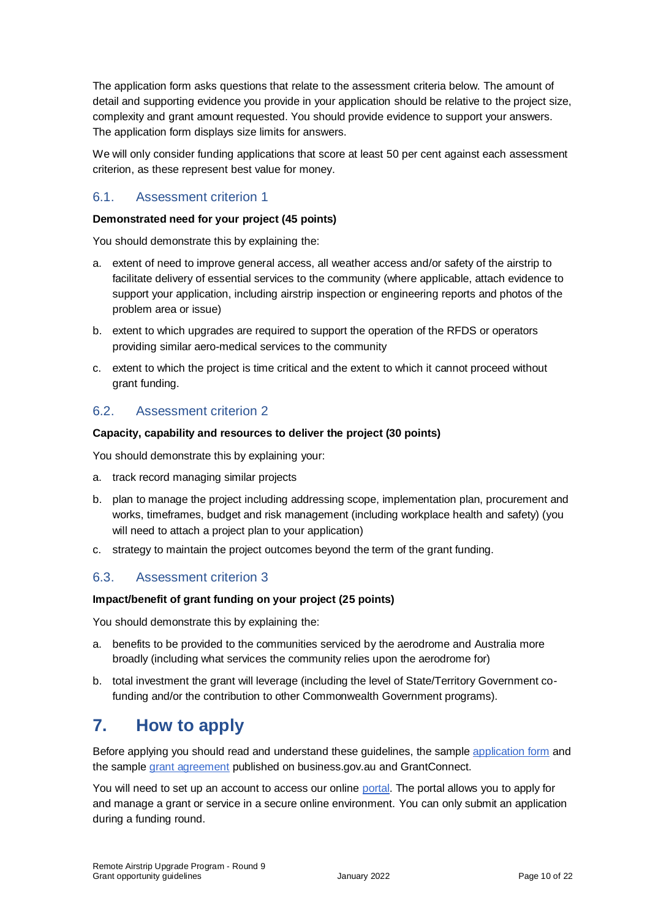The application form asks questions that relate to the assessment criteria below. The amount of detail and supporting evidence you provide in your application should be relative to the project size, complexity and grant amount requested. You should provide evidence to support your answers. The application form displays size limits for answers.

We will only consider funding applications that score at least 50 per cent against each assessment criterion, as these represent best value for money.

#### 6.1. Assessment criterion 1

#### **Demonstrated need for your project (45 points)**

You should demonstrate this by explaining the:

- a. extent of need to improve general access, all weather access and/or safety of the airstrip to facilitate delivery of essential services to the community (where applicable, attach evidence to support your application, including airstrip inspection or engineering reports and photos of the problem area or issue)
- b. extent to which upgrades are required to support the operation of the RFDS or operators providing similar aero-medical services to the community
- c. extent to which the project is time critical and the extent to which it cannot proceed without grant funding.

# 6.2. Assessment criterion 2

#### **Capacity, capability and resources to deliver the project (30 points)**

You should demonstrate this by explaining your:

- a. track record managing similar projects
- b. plan to manage the project including addressing scope, implementation plan, procurement and works, timeframes, budget and risk management (including workplace health and safety) (you will need to attach a project plan to your application)
- c. strategy to maintain the project outcomes beyond the term of the grant funding.

#### 6.3. Assessment criterion 3

#### **Impact/benefit of grant funding on your project (25 points)**

You should demonstrate this by explaining the:

- a. benefits to be provided to the communities serviced by the aerodrome and Australia more broadly (including what services the community relies upon the aerodrome for)
- b. total investment the grant will leverage (including the level of State/Territory Government cofunding and/or the contribution to other Commonwealth Government programs).

# **7. How to apply**

Before applying you should read and understand these guidelines, the sample [application form](https://business.gov.au/grants-and-programs/remote-airstrip-upgrade-program-round-9) and the sampl[e grant agreement](https://business.gov.au/grants-and-programs/remote-airstrip-upgrade-program-round-9) published on business.gov.au and GrantConnect.

You will need to set up an account to access our online [portal.](https://portal.business.gov.au/) The portal allows you to apply for and manage a grant or service in a secure online environment. You can only submit an application during a funding round.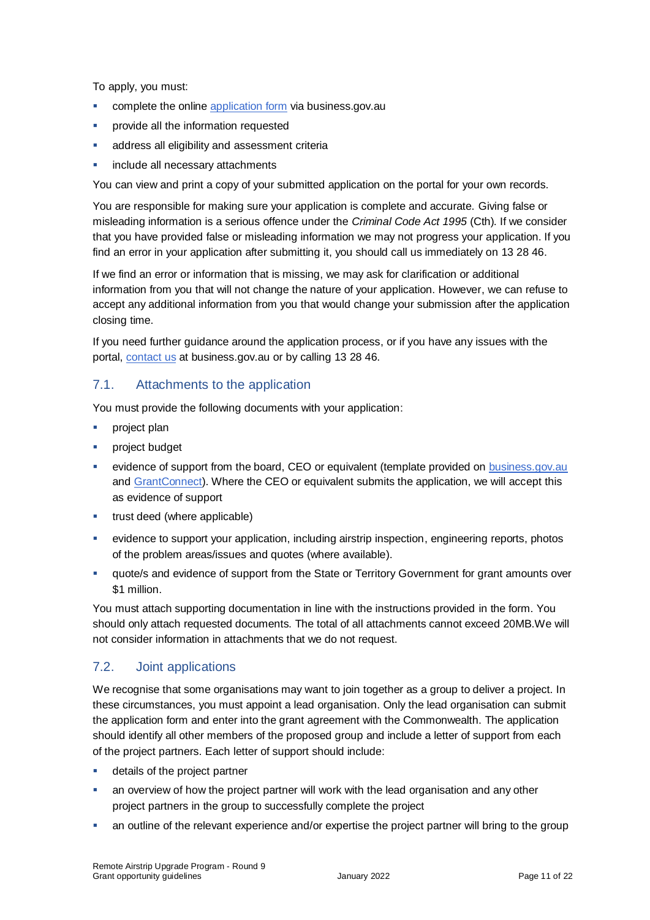To apply, you must:

- **EXECOMPLEE COMPLETE:** complete the online [application form](https://business.gov.au/grants-and-programs/remote-airstrip-upgrade-program-round-9) via business.gov.au
- provide all the information requested
- **address all eligibility and assessment criteria**
- include all necessary attachments

You can view and print a copy of your submitted application on the portal for your own records.

You are responsible for making sure your application is complete and accurate. Giving false or misleading information is a serious offence under the *Criminal Code Act 1995* (Cth). If we consider that you have provided false or misleading information we may not progress your application. If you find an error in your application after submitting it, you should call us immediately on 13 28 46.

If we find an error or information that is missing, we may ask for clarification or additional information from you that will not change the nature of your application. However, we can refuse to accept any additional information from you that would change your submission after the application closing time.

If you need further guidance around the application process, or if you have any issues with the portal, [contact us](https://www.business.gov.au/contact-us) at business.gov.au or by calling 13 28 46.

#### 7.1. Attachments to the application

You must provide the following documents with your application:

- **project plan**
- project budget
- evidence of support from the board, CEO or equivalent (template provided on [business.gov.au](https://business.gov.au/grants-and-programs/remote-airstrip-upgrade-program-round-9) and [GrantConnect\)](http://www.grants.gov.au/). Where the CEO or equivalent submits the application, we will accept this as evidence of support
- **trust deed (where applicable)**
- evidence to support your application, including airstrip inspection, engineering reports, photos of the problem areas/issues and quotes (where available).
- quote/s and evidence of support from the State or Territory Government for grant amounts over \$1 million.

You must attach supporting documentation in line with the instructions provided in the form. You should only attach requested documents. The total of all attachments cannot exceed 20MB.We will not consider information in attachments that we do not request.

# <span id="page-10-0"></span>7.2. Joint applications

We recognise that some organisations may want to join together as a group to deliver a project. In these circumstances, you must appoint a lead organisation. Only the lead organisation can submit the application form and enter into the grant agreement with the Commonwealth. The application should identify all other members of the proposed group and include a letter of support from each of the project partners. Each letter of support should include:

- **details of the project partner**
- an overview of how the project partner will work with the lead organisation and any other project partners in the group to successfully complete the project
- an outline of the relevant experience and/or expertise the project partner will bring to the group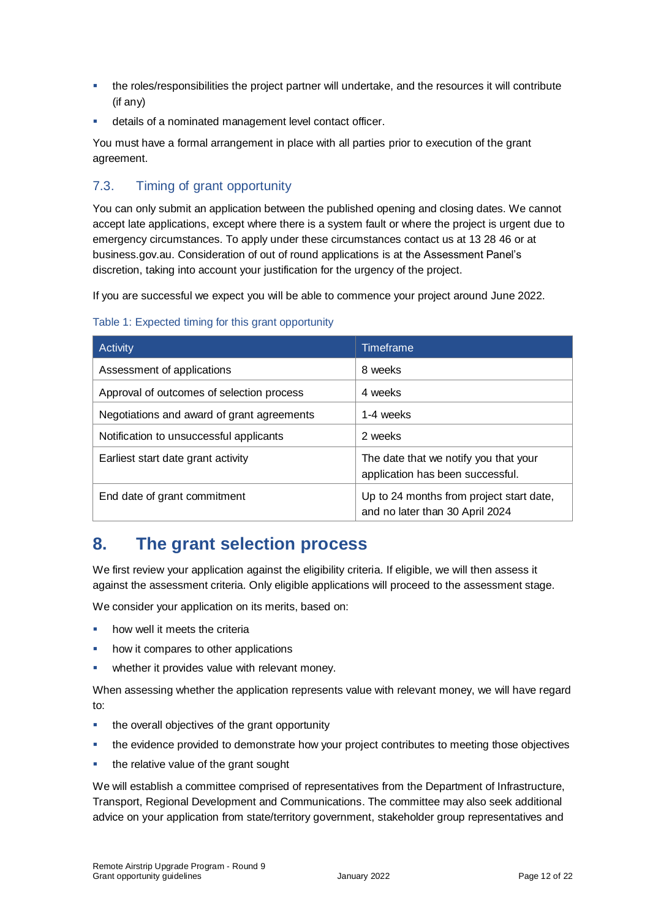- the roles/responsibilities the project partner will undertake, and the resources it will contribute (if any)
- details of a nominated management level contact officer.

You must have a formal arrangement in place with all parties prior to execution of the grant agreement.

# 7.3. Timing of grant opportunity

You can only submit an application between the published opening and closing dates. We cannot accept late applications, except where there is a system fault or where the project is urgent due to emergency circumstances. To apply under these circumstances contact us at 13 28 46 or at business.gov.au. Consideration of out of round applications is at the Assessment Panel's discretion, taking into account your justification for the urgency of the project.

If you are successful we expect you will be able to commence your project around June 2022.

| Activity                                   | <b>Timeframe</b>                                                            |  |
|--------------------------------------------|-----------------------------------------------------------------------------|--|
| Assessment of applications                 | 8 weeks                                                                     |  |
| Approval of outcomes of selection process  | 4 weeks                                                                     |  |
| Negotiations and award of grant agreements | 1-4 weeks                                                                   |  |
| Notification to unsuccessful applicants    | 2 weeks                                                                     |  |
| Earliest start date grant activity         | The date that we notify you that your<br>application has been successful.   |  |
| End date of grant commitment               | Up to 24 months from project start date,<br>and no later than 30 April 2024 |  |

#### Table 1: Expected timing for this grant opportunity

# **8. The grant selection process**

We first review your application against the eligibility criteria. If eligible, we will then assess it against the assessment criteria. Only eligible applications will proceed to the assessment stage.

We consider your application on its merits, based on:

- how well it meets the criteria
- how it compares to other applications
- whether it provides value with relevant money.

When assessing whether the application represents value with relevant money, we will have regard to:

- the overall objectives of the grant opportunity
- the evidence provided to demonstrate how your project contributes to meeting those objectives
- the relative value of the grant sought

We will establish a committee comprised of representatives from the Department of Infrastructure, Transport, Regional Development and Communications. The committee may also seek additional advice on your application from state/territory government, stakeholder group representatives and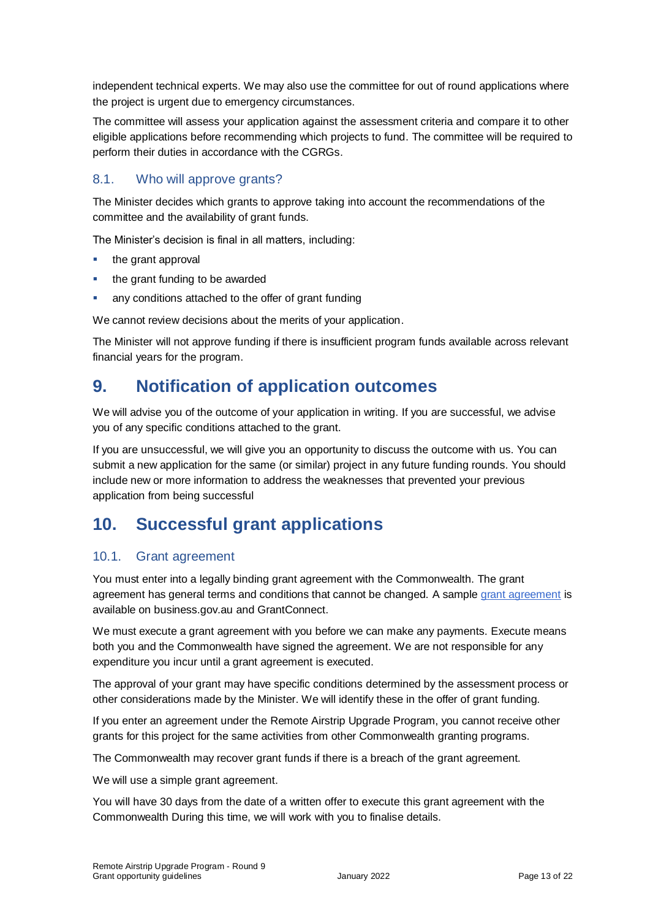independent technical experts. We may also use the committee for out of round applications where the project is urgent due to emergency circumstances.

The committee will assess your application against the assessment criteria and compare it to other eligible applications before recommending which projects to fund. The committee will be required to perform their duties in accordance with the CGRGs.

# 8.1. Who will approve grants?

The Minister decides which grants to approve taking into account the recommendations of the committee and the availability of grant funds.

The Minister's decision is final in all matters, including:

- $\blacksquare$  the grant approval
- the grant funding to be awarded
- any conditions attached to the offer of grant funding

We cannot review decisions about the merits of your application.

The Minister will not approve funding if there is insufficient program funds available across relevant financial years for the program.

# **9. Notification of application outcomes**

We will advise you of the outcome of your application in writing. If you are successful, we advise you of any specific conditions attached to the grant.

If you are unsuccessful, we will give you an opportunity to discuss the outcome with us. You can submit a new application for the same (or similar) project in any future funding rounds. You should include new or more information to address the weaknesses that prevented your previous application from being successful

# **10. Successful grant applications**

#### 10.1. Grant agreement

You must enter into a legally binding grant agreement with the Commonwealth. The grant agreement has general terms and conditions that cannot be changed. A sample [grant agreement](https://business.gov.au/grants-and-programs/remote-airstrip-upgrade-program-round-9) is available on business.gov.au and GrantConnect.

We must execute a grant agreement with you before we can make any payments. Execute means both you and the Commonwealth have signed the agreement. We are not responsible for any expenditure you incur until a grant agreement is executed.

The approval of your grant may have specific conditions determined by the assessment process or other considerations made by the Minister. We will identify these in the offer of grant funding.

If you enter an agreement under the Remote Airstrip Upgrade Program, you cannot receive other grants for this project for the same activities from other Commonwealth granting programs.

The Commonwealth may recover grant funds if there is a breach of the grant agreement.

We will use a simple grant agreement.

You will have 30 days from the date of a written offer to execute this grant agreement with the Commonwealth During this time, we will work with you to finalise details.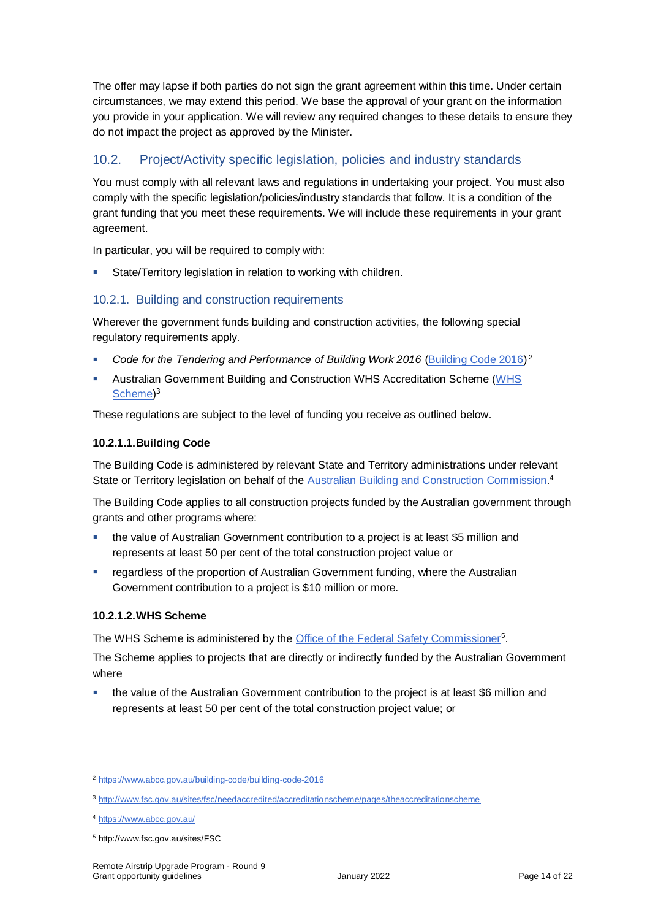The offer may lapse if both parties do not sign the grant agreement within this time. Under certain circumstances, we may extend this period. We base the approval of your grant on the information you provide in your application. We will review any required changes to these details to ensure they do not impact the project as approved by the Minister.

# 10.2. Project/Activity specific legislation, policies and industry standards

You must comply with all relevant laws and regulations in undertaking your project. You must also comply with the specific legislation/policies/industry standards that follow. It is a condition of the grant funding that you meet these requirements. We will include these requirements in your grant agreement.

In particular, you will be required to comply with:

State/Territory legislation in relation to working with children.

### 10.2.1. Building and construction requirements

Wherever the government funds building and construction activities, the following special regulatory requirements apply.

- Code for the Tendering and Performance of Building Work 2016 [\(Building Code 2016\)](https://www.abcc.gov.au/building-code/building-code-2016)<sup>2</sup>
- Australian Government Building and Construction WHS Accreditation Scheme [\(WHS](http://www.fsc.gov.au/sites/fsc/needaccredited/accreditationscheme/pages/theaccreditationscheme)  [Scheme\)](http://www.fsc.gov.au/sites/fsc/needaccredited/accreditationscheme/pages/theaccreditationscheme)<sup>3</sup>

These regulations are subject to the level of funding you receive as outlined below.

#### **10.2.1.1.Building Code**

The Building Code is administered by relevant State and Territory administrations under relevant State or Territory legislation on behalf of the **Australian Building and Construction Commission**.<sup>4</sup>

The Building Code applies to all construction projects funded by the Australian government through grants and other programs where:

- the value of Australian Government contribution to a project is at least \$5 million and represents at least 50 per cent of the total construction project value or
- regardless of the proportion of Australian Government funding, where the Australian Government contribution to a project is \$10 million or more.

#### **10.2.1.2.WHS Scheme**

The WHS Scheme is administered by the **Office of the Federal Safety Commissioner**<sup>5</sup>.

The Scheme applies to projects that are directly or indirectly funded by the Australian Government where

 the value of the Australian Government contribution to the project is at least \$6 million and represents at least 50 per cent of the total construction project value; or

<sup>2</sup> <https://www.abcc.gov.au/building-code/building-code-2016>

<sup>3</sup> <http://www.fsc.gov.au/sites/fsc/needaccredited/accreditationscheme/pages/theaccreditationscheme>

<sup>4</sup> <https://www.abcc.gov.au/>

<sup>5</sup> http://www.fsc.gov.au/sites/FSC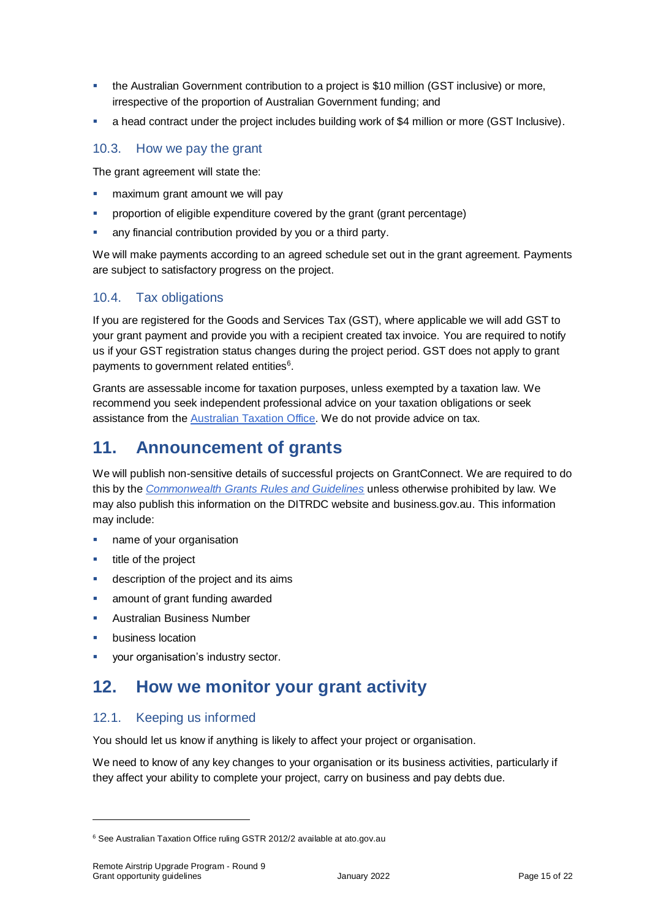- the Australian Government contribution to a project is \$10 million (GST inclusive) or more, irrespective of the proportion of Australian Government funding; and
- a head contract under the project includes building work of \$4 million or more (GST Inclusive).

#### 10.3. How we pay the grant

The grant agreement will state the:

- maximum grant amount we will pay
- proportion of eligible expenditure covered by the grant (grant percentage)
- any financial contribution provided by you or a third party.

We will make payments according to an agreed schedule set out in the grant agreement. Payments are subject to satisfactory progress on the project.

# 10.4. Tax obligations

If you are registered for the Goods and Services Tax (GST), where applicable we will add GST to your grant payment and provide you with a recipient created tax invoice. You are required to notify us if your GST registration status changes during the project period. GST does not apply to grant payments to government related entities<sup>6</sup>.

Grants are assessable income for taxation purposes, unless exempted by a taxation law. We recommend you seek independent professional advice on your taxation obligations or seek assistance from the [Australian Taxation Office.](https://www.ato.gov.au/) We do not provide advice on tax.

# **11. Announcement of grants**

We will publish non-sensitive details of successful projects on GrantConnect. We are required to do this by the *[Commonwealth Grants Rules and Guidelines](https://www.finance.gov.au/government/commonwealth-grants/commonwealth-grants-rules-guidelines)* unless otherwise prohibited by law. We may also publish this information on the DITRDC website and business.gov.au. This information may include:

- **name of your organisation**
- title of the project
- **description of the project and its aims**
- amount of grant funding awarded
- **Australian Business Number**
- business location

 $\overline{a}$ 

your organisation's industry sector.

# **12. How we monitor your grant activity**

#### 12.1. Keeping us informed

You should let us know if anything is likely to affect your project or organisation.

We need to know of any key changes to your organisation or its business activities, particularly if they affect your ability to complete your project, carry on business and pay debts due.

<sup>6</sup> See Australian Taxation Office ruling GSTR 2012/2 available at ato.gov.au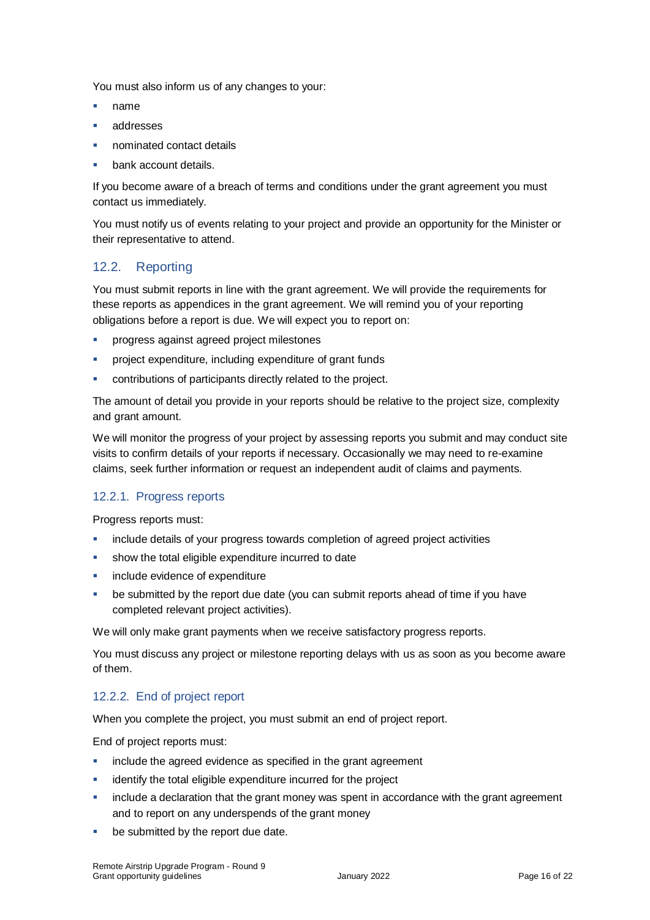You must also inform us of any changes to your:

- name
- addresses
- nominated contact details
- bank account details.

If you become aware of a breach of terms and conditions under the grant agreement you must contact us immediately.

You must notify us of events relating to your project and provide an opportunity for the Minister or their representative to attend.

# 12.2. Reporting

You must submit reports in line with the [grant agreement.](file://///prod.protected.ind/User/user03/LLau2/insert%20link%20here) We will provide the requirements for these reports as appendices in the grant agreement. We will remind you of your reporting obligations before a report is due. We will expect you to report on:

- **•** progress against agreed project milestones
- project expenditure, including expenditure of grant funds
- contributions of participants directly related to the project.

The amount of detail you provide in your reports should be relative to the project size, complexity and grant amount.

We will monitor the progress of your project by assessing reports you submit and may conduct site visits to confirm details of your reports if necessary. Occasionally we may need to re-examine claims, seek further information or request an independent audit of claims and payments.

#### 12.2.1. Progress reports

Progress reports must:

- include details of your progress towards completion of agreed project activities
- show the total eligible expenditure incurred to date
- include evidence of expenditure
- be submitted by the report due date (you can submit reports ahead of time if you have completed relevant project activities).

We will only make grant payments when we receive satisfactory progress reports.

You must discuss any project or milestone reporting delays with us as soon as you become aware of them.

#### 12.2.2. End of project report

When you complete the project, you must submit an end of project report.

End of project reports must:

- include the agreed evidence as specified in the grant agreement
- identify the total eligible expenditure incurred for the project
- include a declaration that the grant money was spent in accordance with the grant agreement and to report on any underspends of the grant money
- be submitted by the report due date.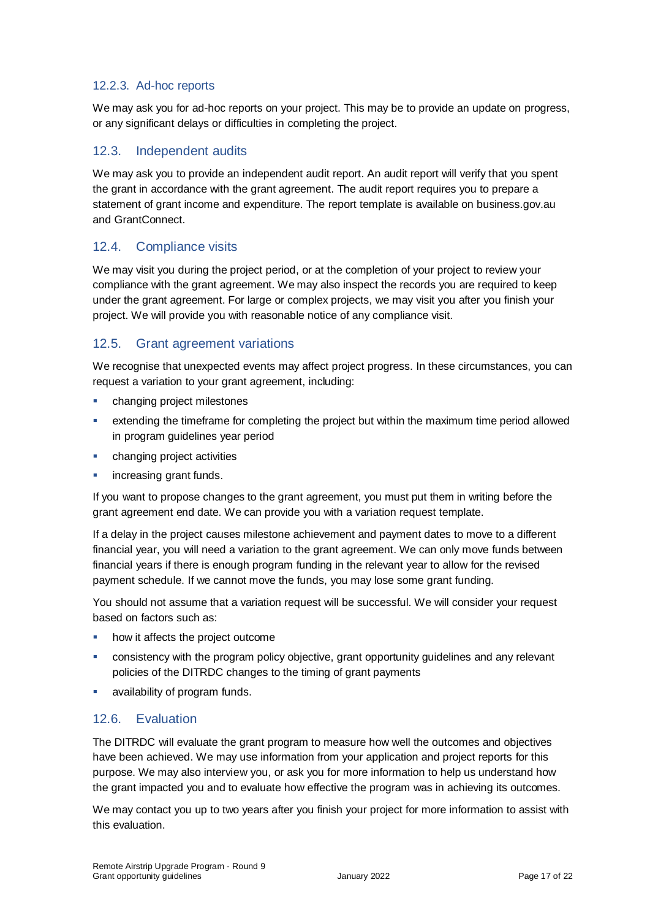### 12.2.3. Ad-hoc reports

We may ask you for ad-hoc reports on your project. This may be to provide an update on progress, or any significant delays or difficulties in completing the project.

### 12.3. Independent audits

We may ask you to provide an independent audit report. An audit report will verify that you spent the grant in accordance with the grant agreement. The audit report requires you to prepare a statement of grant income and expenditure. The report template is available on business.gov.au and GrantConnect.

### 12.4. Compliance visits

We may visit you during the project period, or at the completion of your project to review your compliance with the grant agreement. We may also inspect the records you are required to keep under the grant agreement. For large or complex projects, we may visit you after you finish your project. We will provide you with reasonable notice of any compliance visit.

# 12.5. Grant agreement variations

We recognise that unexpected events may affect project progress. In these circumstances, you can request a variation to your grant agreement, including:

- **•** changing project milestones
- extending the timeframe for completing the project but within the maximum time period allowed in program guidelines year period
- changing project activities
- increasing grant funds.

If you want to propose changes to the grant agreement, you must put them in writing before the grant agreement end date. We can provide you with a variation request template.

If a delay in the project causes milestone achievement and payment dates to move to a different financial year, you will need a variation to the grant agreement. We can only move funds between financial years if there is enough program funding in the relevant year to allow for the revised payment schedule. If we cannot move the funds, you may lose some grant funding.

You should not assume that a variation request will be successful. We will consider your request based on factors such as:

- how it affects the project outcome
- consistency with the program policy objective, grant opportunity guidelines and any relevant policies of the DITRDC changes to the timing of grant payments
- **availability of program funds.**

# 12.6. Evaluation

The DITRDC will evaluate the grant program to measure how well the outcomes and objectives have been achieved. We may use information from your application and project reports for this purpose. We may also interview you, or ask you for more information to help us understand how the grant impacted you and to evaluate how effective the program was in achieving its outcomes.

We may contact you up to two years after you finish your project for more information to assist with this evaluation.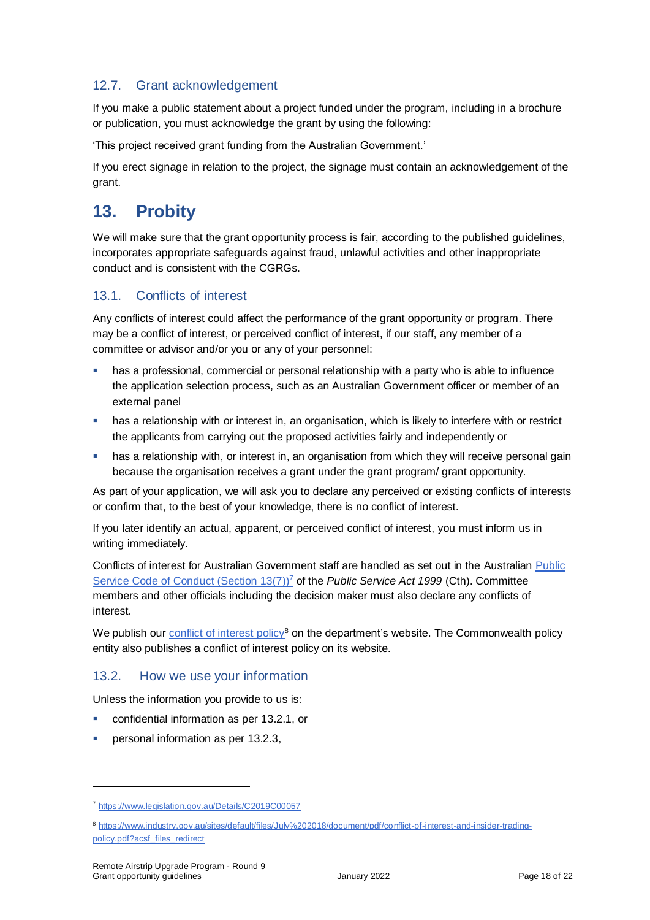# 12.7. Grant acknowledgement

If you make a public statement about a project funded under the program, including in a brochure or publication, you must acknowledge the grant by using the following:

'This project received grant funding from the Australian Government.'

If you erect signage in relation to the project, the signage must contain an acknowledgement of the grant.

# **13. Probity**

We will make sure that the grant opportunity process is fair, according to the published guidelines, incorporates appropriate safeguards against fraud, unlawful activities and other inappropriate conduct and is consistent with the CGRGs.

# 13.1. Conflicts of interest

Any conflicts of interest could affect the performance of the grant opportunity or program. There may be a [conflict of interest,](http://www.apsc.gov.au/publications-and-media/current-publications/aps-values-and-code-of-conduct-in-practice/conflict-of-interest) or perceived conflict of interest, if our staff, any member of a committee or advisor and/or you or any of your personnel:

- has a professional, commercial or personal relationship with a party who is able to influence the application selection process, such as an Australian Government officer or member of an external panel
- **•** has a relationship with or interest in, an organisation, which is likely to interfere with or restrict the applicants from carrying out the proposed activities fairly and independently or
- **•** has a relationship with, or interest in, an organisation from which they will receive personal gain because the organisation receives a grant under the grant program/ grant opportunity.

As part of your application, we will ask you to declare any perceived or existing conflicts of interests or confirm that, to the best of your knowledge, there is no conflict of interest.

If you later identify an actual, apparent, or perceived conflict of interest, you must inform us in writing immediately.

Conflicts of interest for Australian Government staff are handled as set out in the Australian [Public](https://www.legislation.gov.au/Details/C2019C00057)  [Service Code of Conduct \(Section 13\(7\)\)](https://www.legislation.gov.au/Details/C2019C00057)<sup>7</sup> of the *Public Service Act 1999* (Cth). Committee members and other officials including the decision maker must also declare any conflicts of interest.

We publish our [conflict of interest policy](https://www.industry.gov.au/sites/g/files/net3906/f/July%202018/document/pdf/conflict-of-interest-and-insider-trading-policy.pdf)<sup>8</sup> on the department's website. The Commonwealth policy entity also publishes a conflict of interest policy on its website.

# 13.2. How we use your information

Unless the information you provide to us is:

- confidential information as per [13.2.1,](#page-18-0) or
- **personal information as per [13.2.3,](#page-18-1)**

<sup>7</sup> https://www.legislation.gov.au/Details/C2019C00057

<sup>8</sup> [https://www.industry.gov.au/sites/default/files/July%202018/document/pdf/conflict-of-interest-and-insider-trading](https://www.industry.gov.au/sites/default/files/July%202018/document/pdf/conflict-of-interest-and-insider-trading-policy.pdf?acsf_files_redirect)[policy.pdf?acsf\\_files\\_redirect](https://www.industry.gov.au/sites/default/files/July%202018/document/pdf/conflict-of-interest-and-insider-trading-policy.pdf?acsf_files_redirect)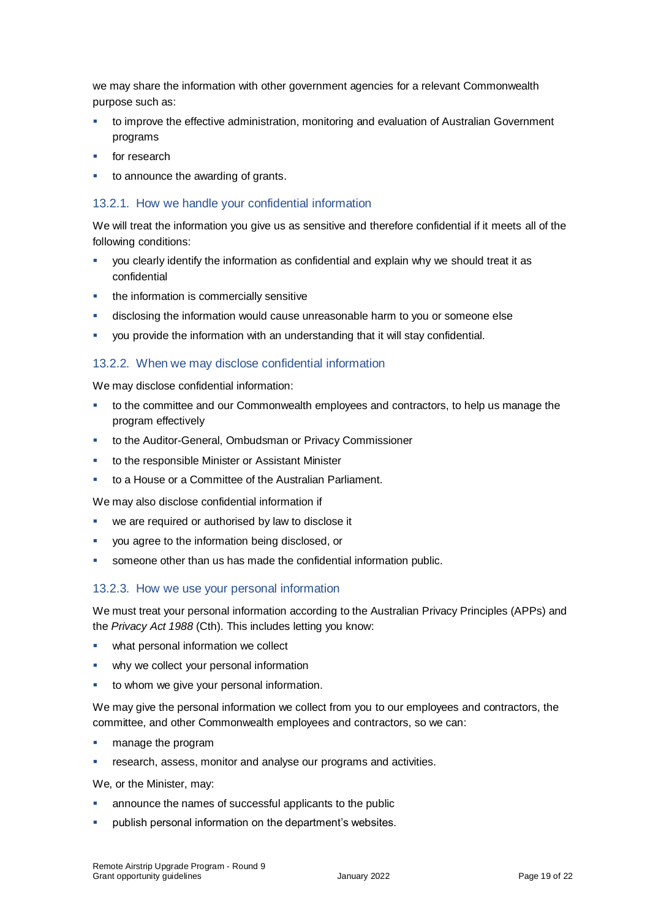we may share the information with other government agencies for a relevant Commonwealth purpose such as:

- to improve the effective administration, monitoring and evaluation of Australian Government programs
- for research
- to announce the awarding of grants.

#### <span id="page-18-0"></span>13.2.1. How we handle your confidential information

We will treat the information you give us as sensitive and therefore confidential if it meets all of the following conditions:

- you clearly identify the information as confidential and explain why we should treat it as confidential
- **the information is commercially sensitive**
- disclosing the information would cause unreasonable harm to you or someone else
- you provide the information with an understanding that it will stay confidential.

#### 13.2.2. When we may disclose confidential information

We may disclose confidential information:

- **to the committee and our Commonwealth employees and contractors, to help us manage the** program effectively
- to the Auditor-General, Ombudsman or Privacy Commissioner
- to the responsible Minister or Assistant Minister
- to a House or a Committee of the Australian Parliament.

We may also disclose confidential information if

- we are required or authorised by law to disclose it
- you agree to the information being disclosed, or
- someone other than us has made the confidential information public.

#### <span id="page-18-1"></span>13.2.3. How we use your personal information

We must treat your personal information according to the Australian Privacy Principles (APPs) and the *Privacy Act 1988* (Cth). This includes letting you know:

- what personal information we collect
- why we collect your personal information
- **to whom we give your personal information.**

We may give the personal information we collect from you to our employees and contractors, the committee, and other Commonwealth employees and contractors, so we can:

- manage the program
- research, assess, monitor and analyse our programs and activities.

We, or the Minister, may:

- announce the names of successful applicants to the public
- publish personal information on the department's websites.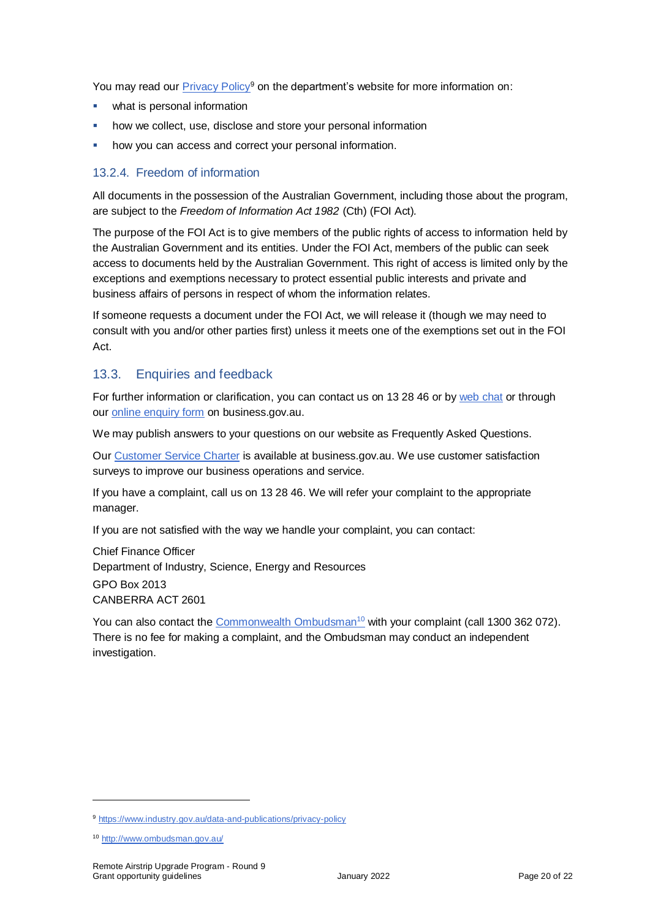You may read our [Privacy Policy](https://www.industry.gov.au/data-and-publications/privacy-policy)<sup>9</sup> on the department's website for more information on:

- what is personal information
- how we collect, use, disclose and store your personal information
- how you can access and correct your personal information.

#### 13.2.4. Freedom of information

All documents in the possession of the Australian Government, including those about the program, are subject to the *Freedom of Information Act 1982* (Cth) (FOI Act)*.*

The purpose of the FOI Act is to give members of the public rights of access to information held by the Australian Government and its entities. Under the FOI Act, members of the public can seek access to documents held by the Australian Government. This right of access is limited only by the exceptions and exemptions necessary to protect essential public interests and private and business affairs of persons in respect of whom the information relates.

If someone requests a document under the FOI Act, we will release it (though we may need to consult with you and/or other parties first) unless it meets one of the exemptions set out in the FOI Act.

# 13.3. Enquiries and feedback

For further information or clarification, you can contact us on 13 28 46 or by [web chat](https://www.business.gov.au/contact-us) or through our [online enquiry form](http://www.business.gov.au/contact-us/Pages/default.aspx) on business.gov.au.

We may publish answers to your questions on our website as Frequently Asked Questions.

Our [Customer Service Charter](https://www.business.gov.au/about/customer-service-charter) is available at [business.gov.au.](http://www.business.gov.au/) We use customer satisfaction surveys to improve our business operations and service.

If you have a complaint, call us on 13 28 46. We will refer your complaint to the appropriate manager.

If you are not satisfied with the way we handle your complaint, you can contact:

Chief Finance Officer Department of Industry, Science, Energy and Resources GPO Box 2013 CANBERRA ACT 2601

You can also contact th[e Commonwealth Ombudsman](http://www.ombudsman.gov.au/)<sup>10</sup> with your complaint (call 1300 362 072). There is no fee for making a complaint, and the Ombudsman may conduct an independent investigation.

<sup>&</sup>lt;sup>9</sup> <https://www.industry.gov.au/data-and-publications/privacy-policy>

<sup>10</sup> <http://www.ombudsman.gov.au/>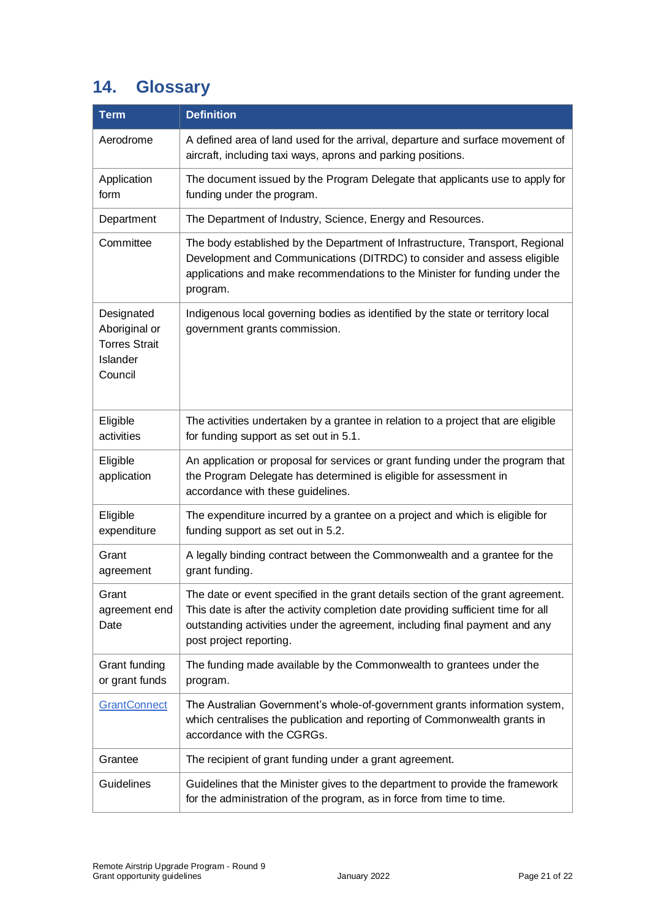# <span id="page-20-0"></span>**14. Glossary**

| <b>Term</b>                                                                | <b>Definition</b>                                                                                                                                                                                                                                                               |
|----------------------------------------------------------------------------|---------------------------------------------------------------------------------------------------------------------------------------------------------------------------------------------------------------------------------------------------------------------------------|
| Aerodrome                                                                  | A defined area of land used for the arrival, departure and surface movement of<br>aircraft, including taxi ways, aprons and parking positions.                                                                                                                                  |
| Application<br>form                                                        | The document issued by the Program Delegate that applicants use to apply for<br>funding under the program.                                                                                                                                                                      |
| Department                                                                 | The Department of Industry, Science, Energy and Resources.                                                                                                                                                                                                                      |
| Committee                                                                  | The body established by the Department of Infrastructure, Transport, Regional<br>Development and Communications (DITRDC) to consider and assess eligible<br>applications and make recommendations to the Minister for funding under the<br>program.                             |
| Designated<br>Aboriginal or<br><b>Torres Strait</b><br>Islander<br>Council | Indigenous local governing bodies as identified by the state or territory local<br>government grants commission.                                                                                                                                                                |
| Eligible<br>activities                                                     | The activities undertaken by a grantee in relation to a project that are eligible<br>for funding support as set out in 5.1.                                                                                                                                                     |
| Eligible<br>application                                                    | An application or proposal for services or grant funding under the program that<br>the Program Delegate has determined is eligible for assessment in<br>accordance with these guidelines.                                                                                       |
| Eligible<br>expenditure                                                    | The expenditure incurred by a grantee on a project and which is eligible for<br>funding support as set out in 5.2.                                                                                                                                                              |
| Grant<br>agreement                                                         | A legally binding contract between the Commonwealth and a grantee for the<br>grant funding.                                                                                                                                                                                     |
| Grant<br>agreement end<br>Date                                             | The date or event specified in the grant details section of the grant agreement.<br>This date is after the activity completion date providing sufficient time for all<br>outstanding activities under the agreement, including final payment and any<br>post project reporting. |
| Grant funding<br>or grant funds                                            | The funding made available by the Commonwealth to grantees under the<br>program.                                                                                                                                                                                                |
| <b>GrantConnect</b>                                                        | The Australian Government's whole-of-government grants information system,<br>which centralises the publication and reporting of Commonwealth grants in<br>accordance with the CGRGs.                                                                                           |
| Grantee                                                                    | The recipient of grant funding under a grant agreement.                                                                                                                                                                                                                         |
| <b>Guidelines</b>                                                          | Guidelines that the Minister gives to the department to provide the framework<br>for the administration of the program, as in force from time to time.                                                                                                                          |